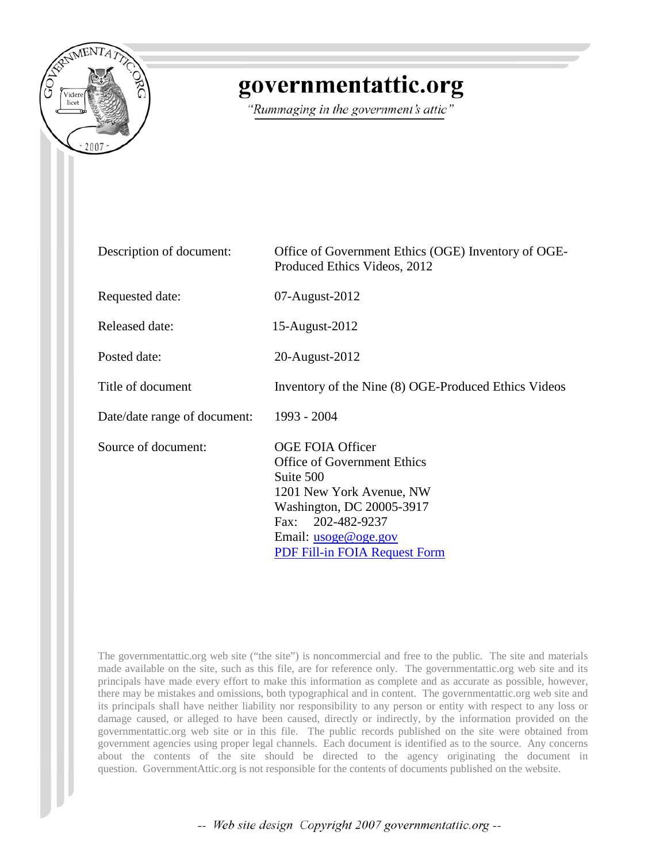

## governmentattic.org

"Rummaging in the government's attic"

| Description of document:     | Office of Government Ethics (OGE) Inventory of OGE-<br>Produced Ethics Videos, 2012                                                                                                                                             |
|------------------------------|---------------------------------------------------------------------------------------------------------------------------------------------------------------------------------------------------------------------------------|
| Requested date:              | 07-August-2012                                                                                                                                                                                                                  |
| Released date:               | 15-August-2012                                                                                                                                                                                                                  |
| Posted date:                 | 20-August-2012                                                                                                                                                                                                                  |
| Title of document            | Inventory of the Nine (8) OGE-Produced Ethics Videos                                                                                                                                                                            |
| Date/date range of document: | 1993 - 2004                                                                                                                                                                                                                     |
| Source of document:          | <b>OGE FOIA Officer</b><br><b>Office of Government Ethics</b><br>Suite 500<br>1201 New York Avenue, NW<br>Washington, DC 20005-3917<br>Fax: 202-482-9237<br>Email: <u>usoge@oge.gov</u><br><b>PDF Fill-in FOIA Request Form</b> |

The governmentattic.org web site ("the site") is noncommercial and free to the public. The site and materials made available on the site, such as this file, are for reference only. The governmentattic.org web site and its principals have made every effort to make this information as complete and as accurate as possible, however, there may be mistakes and omissions, both typographical and in content. The governmentattic.org web site and its principals shall have neither liability nor responsibility to any person or entity with respect to any loss or damage caused, or alleged to have been caused, directly or indirectly, by the information provided on the governmentattic.org web site or in this file. The public records published on the site were obtained from government agencies using proper legal channels. Each document is identified as to the source. Any concerns about the contents of the site should be directed to the agency originating the document in question. GovernmentAttic.org is not responsible for the contents of documents published on the website.

-- Web site design Copyright 2007 governmentattic.org --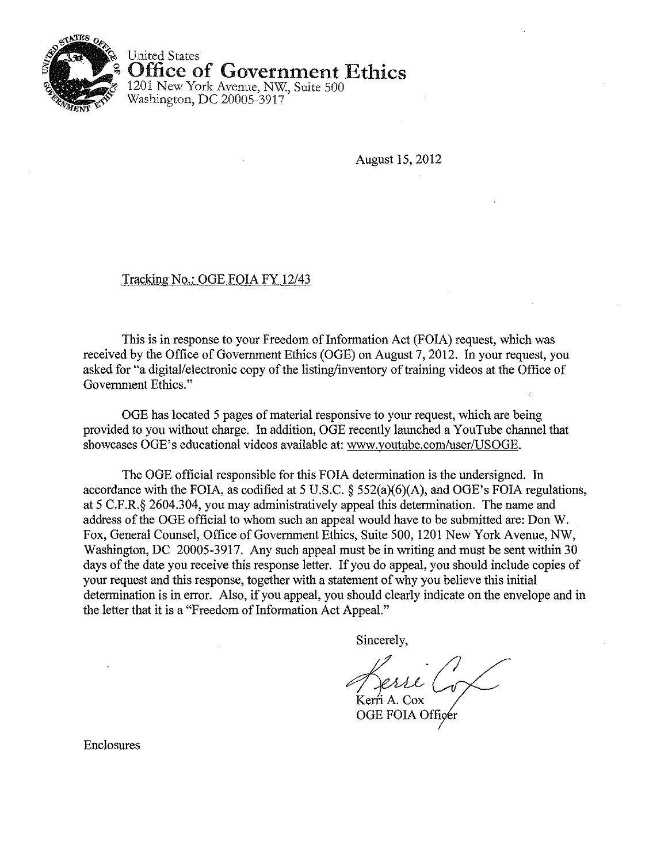

United States Office of Government Ethics

1201 New York Avenue, NW, Suite 500 Washington, DC 20005-3917

August 15,2012

## Tracking No.: OGE FOIA FY 12/43

This is in response to your Freedom of Information Act (FOIA) request, which was received by the Office of Government Ethics (OGE) on August 7, 2012. In your request, you asked for "a digital/electronic copy of the listing/inventory of training videos at the Office of Government Ethics."

OGE has located 5 pages of material responsive to your request, which are being provided to you without charge. In addition, OGE recently launched a YouTube channel that showcases OGE's educational videos available at: www.youtube.com/user/USOGE.

The OGE official responsible for this FOIA determination is the undersigned. In accordance with the FOIA, as codified at 5 U.S.C. § 552(a)(6)(A), and OGE's FOIA regulations, at 5 C.F.R.§ 2604.304, you may administratively appeal this determination. The name and address of the OGE official to whom such an appeal would have to be submitted are; Don W. Fox, General Counsel, Office of Government Ethics, Suite 500, 1201 New York Avenue, NW, Washington, DC 20005-3917. Any such appeal must be in writing and must be sent within 30 days of the date you receive this response letter. If you do appeal, you should include copies of your request and this response, together with a statement of why you believe this initial determination is in error. Also, if you appeal, you should clearly indicate on the envelope and in the letter that it is a "Freedom of Information Act Appeal."

Sincerely,

Lerri Co Kerri A. Cox

OGE FOIA Officer

Enclosures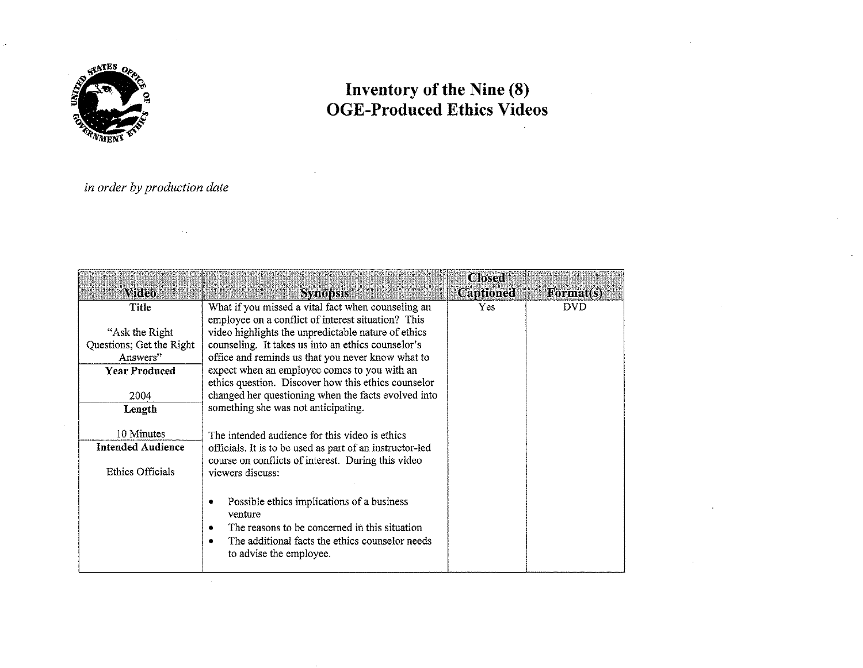

## **Inventory of the Nine (8) OGE-Produced Ethics Videos**

## *in order by production date*

| <b><i><u>Mideo</u></i></b> |                                                                                 | <b>Closed</b><br><b>Captioned</b> | Format(s)  |
|----------------------------|---------------------------------------------------------------------------------|-----------------------------------|------------|
| Title                      | <b>Synopsis</b><br>What if you missed a vital fact when counseling an           | Yes.                              | <b>DVD</b> |
|                            | employee on a conflict of interest situation? This                              |                                   |            |
| "Ask the Right"            | video highlights the unpredictable nature of ethics                             |                                   |            |
| Questions; Get the Right   | counseling. It takes us into an ethics counselor's                              |                                   |            |
| Answers"                   | office and reminds us that you never know what to                               |                                   |            |
| <b>Year Produced</b>       | expect when an employee comes to you with an                                    |                                   |            |
|                            | ethics question. Discover how this ethics counselor                             |                                   |            |
| 2004                       | changed her questioning when the facts evolved into                             |                                   |            |
| Length                     | something she was not anticipating.                                             |                                   |            |
| 10 Minutes                 | The intended audience for this video is ethics                                  |                                   |            |
| <b>Intended Audience</b>   | officials. It is to be used as part of an instructor-led                        |                                   |            |
|                            | course on conflicts of interest. During this video                              |                                   |            |
| Ethics Officials           | viewers discuss:                                                                |                                   |            |
|                            |                                                                                 |                                   |            |
|                            | Possible ethics implications of a business<br>venture                           |                                   |            |
|                            | The reasons to be concerned in this situation<br>٠                              |                                   |            |
|                            | The additional facts the ethics counselor needs<br>٠<br>to advise the employee. |                                   |            |
|                            |                                                                                 |                                   |            |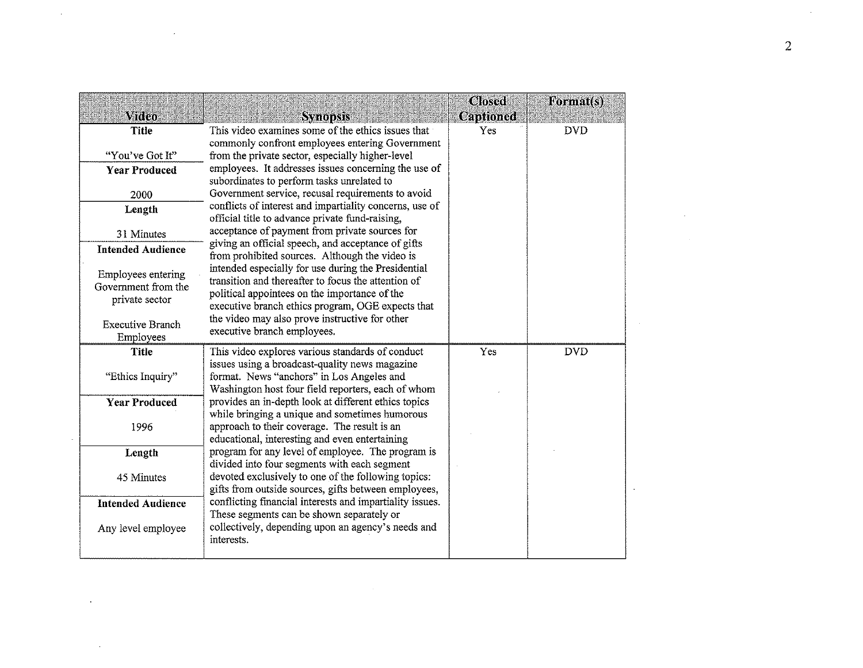|                                      |                                                                                                      | <b>Closed</b> | Format(s)  |
|--------------------------------------|------------------------------------------------------------------------------------------------------|---------------|------------|
| Video                                | <b>Synopsis</b>                                                                                      | Captioned     |            |
| <b>Title</b>                         | This video examines some of the ethics issues that                                                   | Yes           | <b>DVD</b> |
|                                      | commonly confront employees entering Government                                                      |               |            |
| "You've Got It"                      | from the private sector, especially higher-level                                                     |               |            |
| <b>Year Produced</b>                 | employees. It addresses issues concerning the use of                                                 |               |            |
|                                      | subordinates to perform tasks unrelated to<br>Government service, recusal requirements to avoid      |               |            |
| 2000                                 | conflicts of interest and impartiality concerns, use of                                              |               |            |
| Length                               | official title to advance private fund-raising,                                                      |               |            |
| 31 Minutes                           | acceptance of payment from private sources for                                                       |               |            |
| <b>Intended Audience</b>             | giving an official speech, and acceptance of gifts                                                   |               |            |
|                                      | from prohibited sources. Although the video is                                                       |               |            |
| Employees entering                   | intended especially for use during the Presidential                                                  |               |            |
| Government from the                  | transition and thereafter to focus the attention of<br>political appointees on the importance of the |               |            |
| private sector                       | executive branch ethics program, OGE expects that                                                    |               |            |
|                                      | the video may also prove instructive for other                                                       |               |            |
| <b>Executive Branch</b><br>Employees | executive branch employees.                                                                          |               |            |
| Title                                | This video explores various standards of conduct                                                     | Yes           | <b>DVD</b> |
|                                      | issues using a broadcast-quality news magazine                                                       |               |            |
| "Ethics Inquiry"                     | format. News "anchors" in Los Angeles and                                                            |               |            |
|                                      | Washington host four field reporters, each of whom                                                   |               |            |
| <b>Year Produced</b>                 | provides an in-depth look at different ethics topics                                                 |               |            |
|                                      | while bringing a unique and sometimes humorous                                                       |               |            |
| 1996                                 | approach to their coverage. The result is an                                                         |               |            |
|                                      | educational, interesting and even entertaining<br>program for any level of employee. The program is  |               |            |
| Length                               | divided into four segments with each segment                                                         |               |            |
| 45 Minutes                           | devoted exclusively to one of the following topics:                                                  |               |            |
|                                      | gifts from outside sources, gifts between employees,                                                 |               |            |
| <b>Intended Audience</b>             | conflicting financial interests and impartiality issues.                                             |               |            |
|                                      | These segments can be shown separately or                                                            |               |            |
| Any level employee                   | collectively, depending upon an agency's needs and                                                   |               |            |
|                                      | interests.                                                                                           |               |            |
|                                      |                                                                                                      |               |            |

 $\label{eq:2.1} \frac{1}{\sqrt{2}}\int_{\mathbb{R}^3}\frac{1}{\sqrt{2}}\left(\frac{1}{\sqrt{2}}\right)^2\left(\frac{1}{\sqrt{2}}\right)^2\left(\frac{1}{\sqrt{2}}\right)^2\left(\frac{1}{\sqrt{2}}\right)^2\left(\frac{1}{\sqrt{2}}\right)^2.$ 

 $\mathcal{L}^{\pm}$ 

 $\label{eq:2.1} \frac{1}{\sqrt{2}}\int_{\mathbb{R}^3}\frac{1}{\sqrt{2}}\left(\frac{1}{\sqrt{2}}\right)^2\frac{1}{\sqrt{2}}\left(\frac{1}{\sqrt{2}}\right)^2\frac{1}{\sqrt{2}}\left(\frac{1}{\sqrt{2}}\right)^2\frac{1}{\sqrt{2}}\left(\frac{1}{\sqrt{2}}\right)^2.$ 

 $\label{eq:2.1} \mathcal{L}(\mathcal{L}^{\mathcal{L}}_{\mathcal{L}}(\mathcal{L}^{\mathcal{L}}_{\mathcal{L}})) = \mathcal{L}(\mathcal{L}^{\mathcal{L}}_{\mathcal{L}}(\mathcal{L}^{\mathcal{L}}_{\mathcal{L}})) = \mathcal{L}(\mathcal{L}^{\mathcal{L}}_{\mathcal{L}}(\mathcal{L}^{\mathcal{L}}_{\mathcal{L}}))$ 

 $\sim$   $\sim$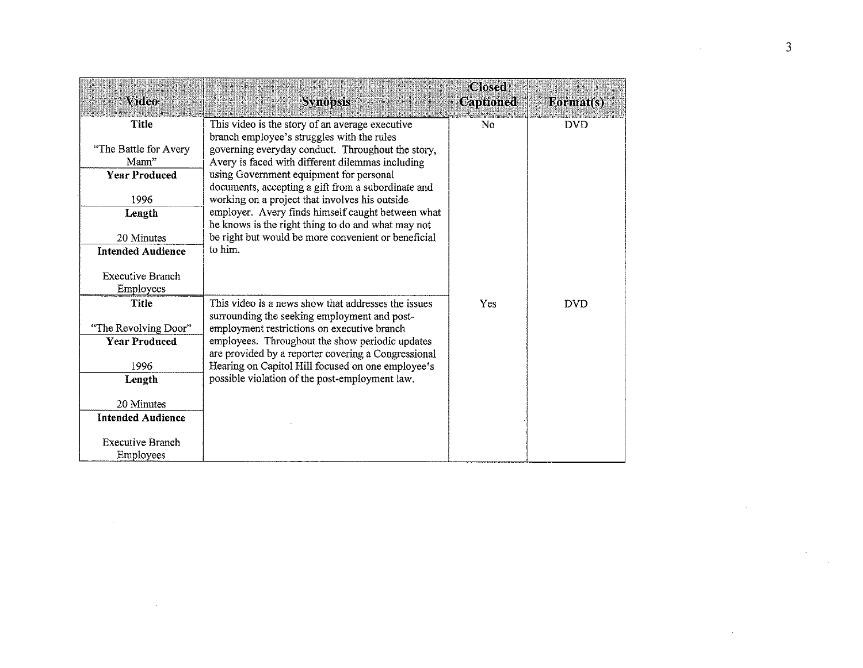| Video                                | <b>Synopsis</b>                                                                                                                                     | <b>Closed</b><br><b>Captioned</b> | Format(s)  |
|--------------------------------------|-----------------------------------------------------------------------------------------------------------------------------------------------------|-----------------------------------|------------|
| Title                                | This video is the story of an average executive                                                                                                     | N <sub>0</sub>                    | <b>DVD</b> |
| "The Battle for Avery<br>Mann"       | branch employee's struggles with the rules<br>governing everyday conduct. Throughout the story,<br>Avery is faced with different dilemmas including |                                   |            |
| <b>Year Produced</b>                 | using Government equipment for personal                                                                                                             |                                   |            |
| 1996                                 | documents, accepting a gift from a subordinate and<br>working on a project that involves his outside                                                |                                   |            |
| Length                               | employer. Avery finds himself caught between what                                                                                                   |                                   |            |
| 20 Minutes                           | he knows is the right thing to do and what may not<br>be right but would be more convenient or beneficial                                           |                                   |            |
| <b>Intended Audience</b>             | to him.                                                                                                                                             |                                   |            |
| <b>Executive Branch</b><br>Employees |                                                                                                                                                     |                                   |            |
| <b>Title</b>                         | This video is a news show that addresses the issues                                                                                                 | Yes                               | <b>DVD</b> |
| "The Revolving Door"                 | surrounding the seeking employment and post-<br>employment restrictions on executive branch                                                         |                                   |            |
| <b>Year Produced</b>                 | employees. Throughout the show periodic updates<br>are provided by a reporter covering a Congressional                                              |                                   |            |
| 1996                                 | Hearing on Capitol Hill focused on one employee's                                                                                                   |                                   |            |
| Length                               | possible violation of the post-employment law.                                                                                                      |                                   |            |
| 20 Minutes                           |                                                                                                                                                     |                                   |            |
| <b>Intended Audience</b>             |                                                                                                                                                     |                                   |            |
| <b>Executive Branch</b><br>Employees |                                                                                                                                                     |                                   |            |

 $\label{eq:2.1} \mathcal{L}(\mathcal{L}^{\text{max}}_{\mathcal{L}}(\mathcal{L}^{\text{max}}_{\mathcal{L}}))\leq \mathcal{L}(\mathcal{L}^{\text{max}}_{\mathcal{L}}(\mathcal{L}^{\text{max}}_{\mathcal{L}}))\leq \mathcal{L}(\mathcal{L}^{\text{max}}_{\mathcal{L}}(\mathcal{L}^{\text{max}}_{\mathcal{L}}))$ 

 $\label{eq:2.1} \frac{1}{\sqrt{2}}\int_{\mathbb{R}^3}\frac{1}{\sqrt{2}}\left(\frac{1}{\sqrt{2}}\right)^2\frac{1}{\sqrt{2}}\left(\frac{1}{\sqrt{2}}\right)^2\frac{1}{\sqrt{2}}\left(\frac{1}{\sqrt{2}}\right)^2\frac{1}{\sqrt{2}}\left(\frac{1}{\sqrt{2}}\right)^2.$ 

 $\mathcal{L}^{\mathcal{L}}$  , where  $\mathcal{L}^{\mathcal{L}}$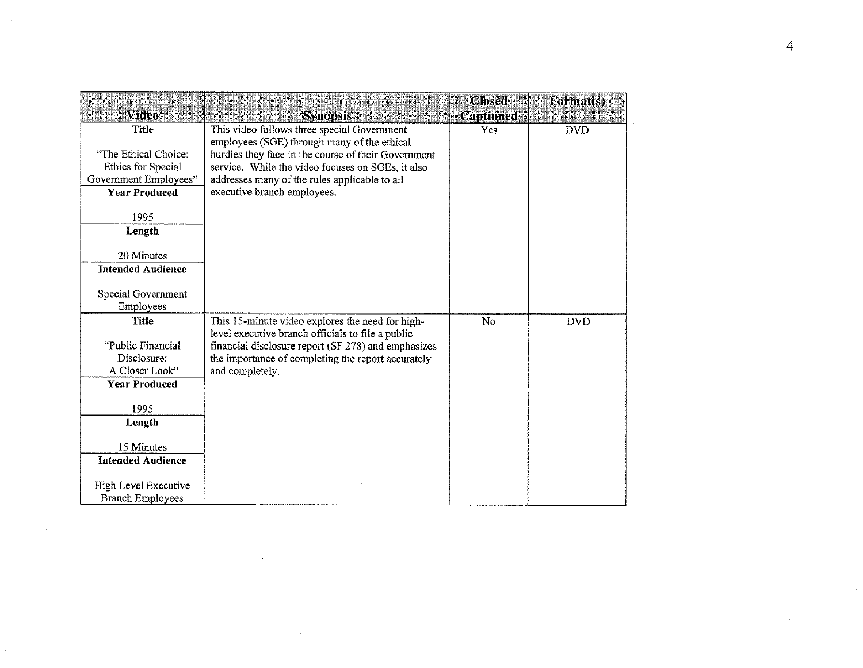|                               |                                                                                            | <b>Closed</b> | Format(s)  |
|-------------------------------|--------------------------------------------------------------------------------------------|---------------|------------|
| <b>Video</b>                  | <b>Synopsis</b>                                                                            | Captioned     |            |
| <b>Title</b>                  | This video follows three special Government<br>employees (SGE) through many of the ethical | Yes           | <b>DVD</b> |
| "The Ethical Choice:          | hurdles they face in the course of their Government                                        |               |            |
| Ethics for Special            | service. While the video focuses on SGEs, it also                                          |               |            |
| Government Employees"         | addresses many of the rules applicable to all                                              |               |            |
| <b>Year Produced</b>          | executive branch employees.                                                                |               |            |
|                               |                                                                                            |               |            |
| 1995                          |                                                                                            |               |            |
| Length                        |                                                                                            |               |            |
| 20 Minutes                    |                                                                                            |               |            |
| <b>Intended Audience</b>      |                                                                                            |               |            |
|                               |                                                                                            |               |            |
| Special Government            |                                                                                            |               |            |
| Employees                     |                                                                                            |               |            |
| <b>Title</b>                  | This 15-minute video explores the need for high-                                           | No            | <b>DVD</b> |
|                               | level executive branch officials to file a public                                          |               |            |
| "Public Financial             | financial disclosure report (SF 278) and emphasizes                                        |               |            |
| Disclosure:<br>A Closer Look" | the importance of completing the report accurately<br>and completely.                      |               |            |
| <b>Year Produced</b>          |                                                                                            |               |            |
|                               |                                                                                            |               |            |
| 1995                          |                                                                                            |               |            |
| Length                        |                                                                                            |               |            |
|                               |                                                                                            |               |            |
| 15 Minutes                    |                                                                                            |               |            |
| <b>Intended Audience</b>      |                                                                                            |               |            |
| High Level Executive          |                                                                                            |               |            |
| <b>Branch Employees</b>       |                                                                                            |               |            |

 $\sim 10^{11}$  km s  $^{-1}$ 

 $\mathcal{L}^{\pm}$ 

 $\hat{\mathcal{A}}$ 

 $\sim$